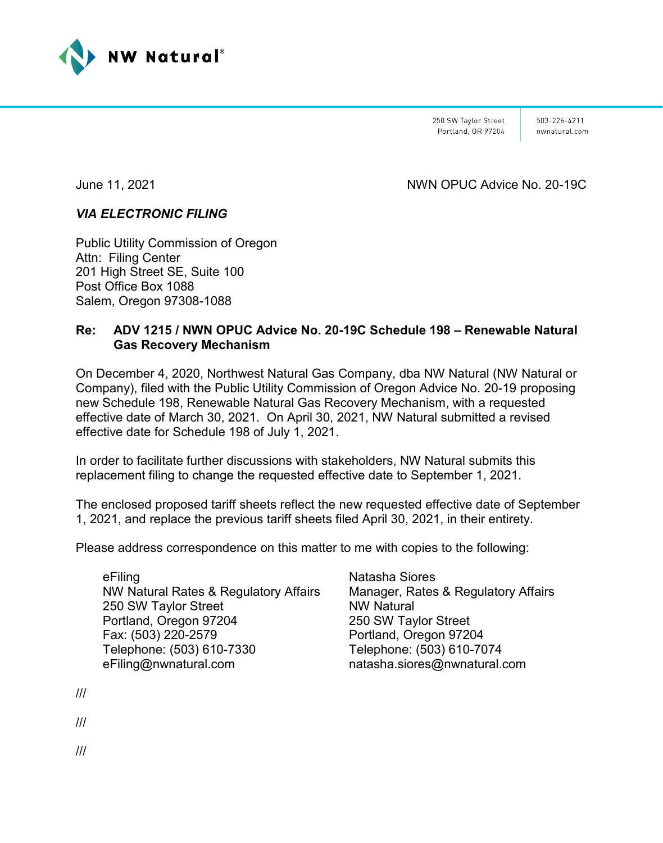

250 SW Taylor Street Portland, OR 97204

503-226-4211 nwnatural.com

June 11, 2021 NWN OPUC Advice No. 20-19C

# *VIA ELECTRONIC FILING*

Public Utility Commission of Oregon Attn: Filing Center 201 High Street SE, Suite 100 Post Office Box 1088 Salem, Oregon 97308-1088

# **Re: ADV 1215 / NWN OPUC Advice No. 20-19C Schedule 198 – Renewable Natural Gas Recovery Mechanism**

On December 4, 2020, Northwest Natural Gas Company, dba NW Natural (NW Natural or Company), filed with the Public Utility Commission of Oregon Advice No. 20-19 proposing new Schedule 198, Renewable Natural Gas Recovery Mechanism, with a requested effective date of March 30, 2021. On April 30, 2021, NW Natural submitted a revised effective date for Schedule 198 of July 1, 2021.

In order to facilitate further discussions with stakeholders, NW Natural submits this replacement filing to change the requested effective date to September 1, 2021.

The enclosed proposed tariff sheets reflect the new requested effective date of September 1, 2021, and replace the previous tariff sheets filed April 30, 2021, in their entirety.

Please address correspondence on this matter to me with copies to the following:

eFiling NW Natural Rates & Regulatory Affairs 250 SW Taylor Street Portland, Oregon 97204 Fax: (503) 220-2579 Telephone: (503) 610-7330 eFiling@nwnatural.com

Natasha Siores Manager, Rates & Regulatory Affairs NW Natural 250 SW Taylor Street Portland, Oregon 97204 Telephone: (503) 610-7074 natasha.siores@nwnatural.com

///

///

///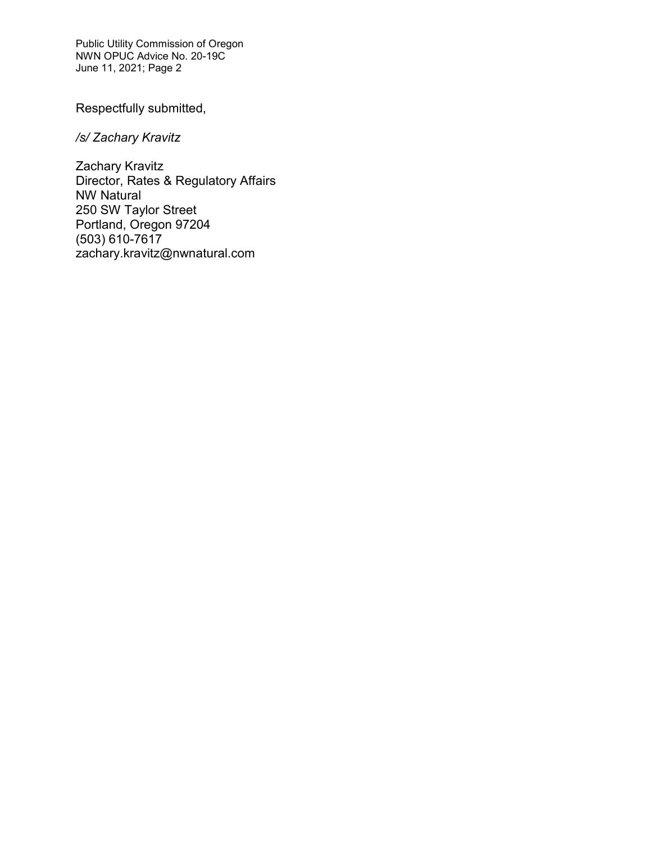Public Utility Commission of Oregon NWN OPUC Advice No. 20-19C June 11, 2021; Page 2

Respectfully submitted,

*/s/ Zachary Kravitz*

Zachary Kravitz Director, Rates & Regulatory Affairs NW Natural 250 SW Taylor Street Portland, Oregon 97204 (503) 610-7617 zachary.kravitz@nwnatural.com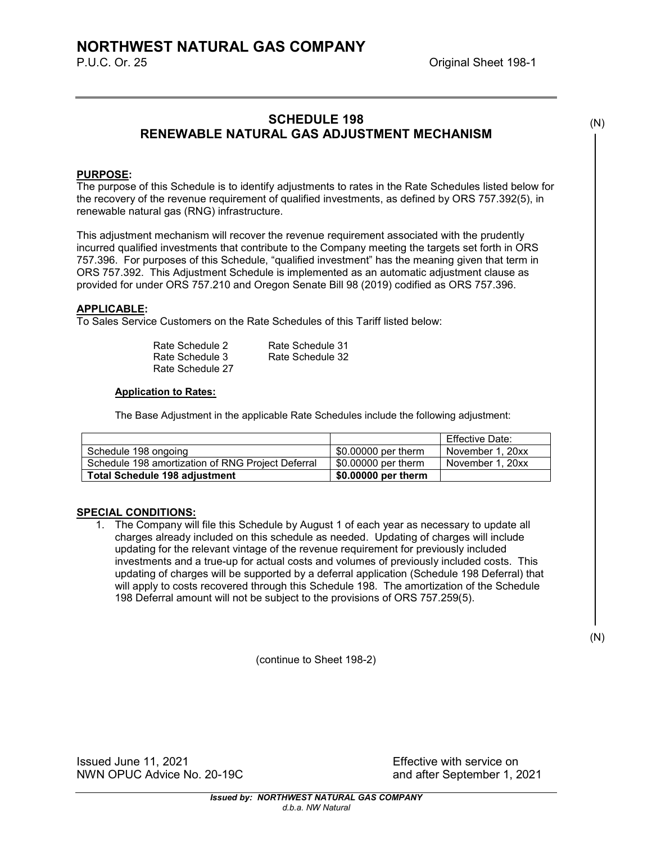# **SCHEDULE 198 RENEWABLE NATURAL GAS ADJUSTMENT MECHANISM**

#### **PURPOSE:**

The purpose of this Schedule is to identify adjustments to rates in the Rate Schedules listed below for the recovery of the revenue requirement of qualified investments, as defined by ORS 757.392(5), in renewable natural gas (RNG) infrastructure.

This adjustment mechanism will recover the revenue requirement associated with the prudently incurred qualified investments that contribute to the Company meeting the targets set forth in ORS 757.396. For purposes of this Schedule, "qualified investment" has the meaning given that term in ORS 757.392. This Adjustment Schedule is implemented as an automatic adjustment clause as provided for under ORS 757.210 and Oregon Senate Bill 98 (2019) codified as ORS 757.396.

## **APPLICABLE:**

To Sales Service Customers on the Rate Schedules of this Tariff listed below:

| Rate Schedule 2  | Rate Schedule 31 |
|------------------|------------------|
| Rate Schedule 3  | Rate Schedule 32 |
| Rate Schedule 27 |                  |

### **Application to Rates:**

The Base Adjustment in the applicable Rate Schedules include the following adjustment:

|                                                   |                     | Effective Date:  |
|---------------------------------------------------|---------------------|------------------|
| Schedule 198 ongoing                              | \$0,00000 per therm | November 1, 20xx |
| Schedule 198 amortization of RNG Project Deferral | \$0,00000 per therm | November 1, 20xx |
| Total Schedule 198 adjustment                     | \$0.00000 per therm |                  |

#### **SPECIAL CONDITIONS:**

1. The Company will file this Schedule by August 1 of each year as necessary to update all charges already included on this schedule as needed. Updating of charges will include updating for the relevant vintage of the revenue requirement for previously included investments and a true-up for actual costs and volumes of previously included costs. This updating of charges will be supported by a deferral application (Schedule 198 Deferral) that will apply to costs recovered through this Schedule 198. The amortization of the Schedule 198 Deferral amount will not be subject to the provisions of ORS 757.259(5).

(continue to Sheet 198-2)

Issued June 11, 2021 Effective with service on NWN OPUC Advice No. 20-19C and after September 1, 2021

(N)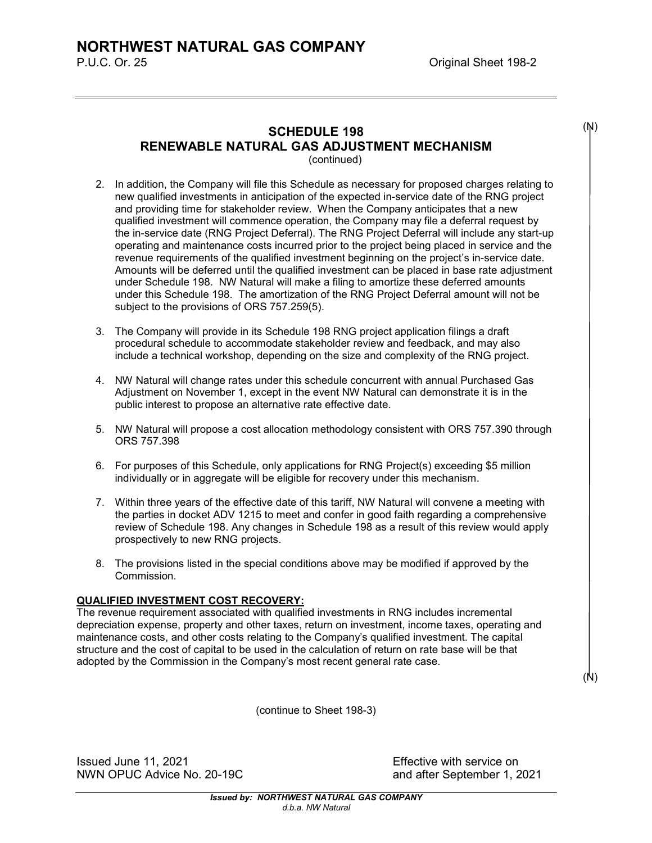# **SCHEDULE 198 RENEWABLE NATURAL GAS ADJUSTMENT MECHANISM**

(continued)

- 2. In addition, the Company will file this Schedule as necessary for proposed charges relating to new qualified investments in anticipation of the expected in-service date of the RNG project and providing time for stakeholder review. When the Company anticipates that a new qualified investment will commence operation, the Company may file a deferral request by the in-service date (RNG Project Deferral). The RNG Project Deferral will include any start-up operating and maintenance costs incurred prior to the project being placed in service and the revenue requirements of the qualified investment beginning on the project's in-service date. Amounts will be deferred until the qualified investment can be placed in base rate adjustment under Schedule 198. NW Natural will make a filing to amortize these deferred amounts under this Schedule 198. The amortization of the RNG Project Deferral amount will not be subject to the provisions of ORS 757.259(5).
- 3. The Company will provide in its Schedule 198 RNG project application filings a draft procedural schedule to accommodate stakeholder review and feedback, and may also include a technical workshop, depending on the size and complexity of the RNG project.
- 4. NW Natural will change rates under this schedule concurrent with annual Purchased Gas Adjustment on November 1, except in the event NW Natural can demonstrate it is in the public interest to propose an alternative rate effective date.
- 5. NW Natural will propose a cost allocation methodology consistent with ORS 757.390 through ORS 757.398
- 6. For purposes of this Schedule, only applications for RNG Project(s) exceeding \$5 million individually or in aggregate will be eligible for recovery under this mechanism.
- 7. Within three years of the effective date of this tariff, NW Natural will convene a meeting with the parties in docket ADV 1215 to meet and confer in good faith regarding a comprehensive review of Schedule 198. Any changes in Schedule 198 as a result of this review would apply prospectively to new RNG projects.
- 8. The provisions listed in the special conditions above may be modified if approved by the Commission.

## **QUALIFIED INVESTMENT COST RECOVERY:**

The revenue requirement associated with qualified investments in RNG includes incremental depreciation expense, property and other taxes, return on investment, income taxes, operating and maintenance costs, and other costs relating to the Company's qualified investment. The capital structure and the cost of capital to be used in the calculation of return on rate base will be that adopted by the Commission in the Company's most recent general rate case.

(N)

(N)

(continue to Sheet 198-3)

Issued June 11, 2021 Effective with service on NWN OPUC Advice No. 20-19C and after September 1, 2021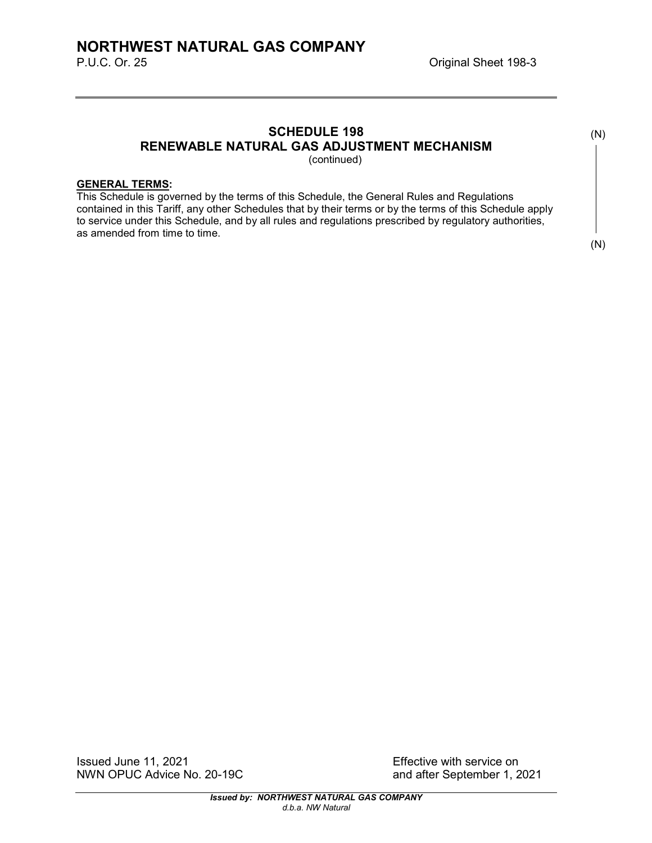# **SCHEDULE 198 RENEWABLE NATURAL GAS ADJUSTMENT MECHANISM**

(continued)

## **GENERAL TERMS:**

This Schedule is governed by the terms of this Schedule, the General Rules and Regulations contained in this Tariff, any other Schedules that by their terms or by the terms of this Schedule apply to service under this Schedule, and by all rules and regulations prescribed by regulatory authorities, as amended from time to time.

(N)

(N)

Issued June 11, 2021<br>
NWN OPUC Advice No. 20-19C<br>
and after September 1, 2021 NWN OPUC Advice No. 20-19C